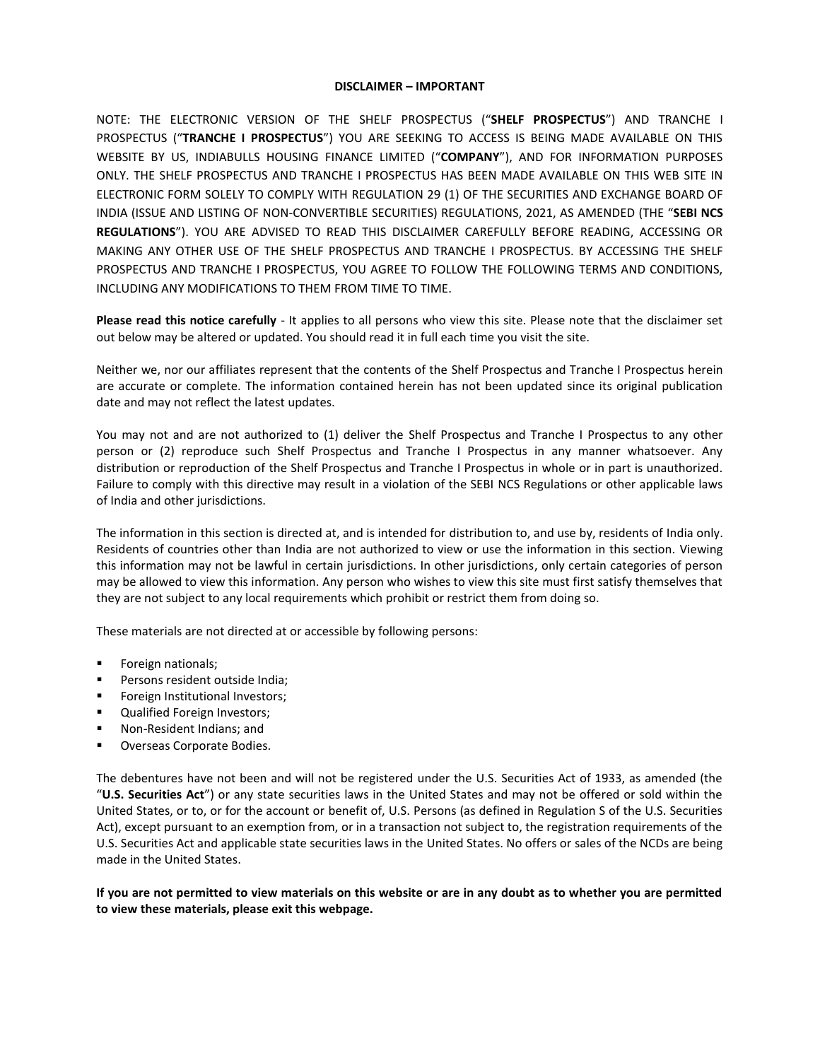## **DISCLAIMER – IMPORTANT**

NOTE: THE ELECTRONIC VERSION OF THE SHELF PROSPECTUS ("**SHELF PROSPECTUS**") AND TRANCHE I PROSPECTUS ("**TRANCHE I PROSPECTUS**") YOU ARE SEEKING TO ACCESS IS BEING MADE AVAILABLE ON THIS WEBSITE BY US, INDIABULLS HOUSING FINANCE LIMITED ("**COMPANY**"), AND FOR INFORMATION PURPOSES ONLY. THE SHELF PROSPECTUS AND TRANCHE I PROSPECTUS HAS BEEN MADE AVAILABLE ON THIS WEB SITE IN ELECTRONIC FORM SOLELY TO COMPLY WITH REGULATION 29 (1) OF THE SECURITIES AND EXCHANGE BOARD OF INDIA (ISSUE AND LISTING OF NON-CONVERTIBLE SECURITIES) REGULATIONS, 2021, AS AMENDED (THE "**SEBI NCS REGULATIONS**"). YOU ARE ADVISED TO READ THIS DISCLAIMER CAREFULLY BEFORE READING, ACCESSING OR MAKING ANY OTHER USE OF THE SHELF PROSPECTUS AND TRANCHE I PROSPECTUS. BY ACCESSING THE SHELF PROSPECTUS AND TRANCHE I PROSPECTUS, YOU AGREE TO FOLLOW THE FOLLOWING TERMS AND CONDITIONS, INCLUDING ANY MODIFICATIONS TO THEM FROM TIME TO TIME.

**Please read this notice carefully** - It applies to all persons who view this site. Please note that the disclaimer set out below may be altered or updated. You should read it in full each time you visit the site.

Neither we, nor our affiliates represent that the contents of the Shelf Prospectus and Tranche I Prospectus herein are accurate or complete. The information contained herein has not been updated since its original publication date and may not reflect the latest updates.

You may not and are not authorized to (1) deliver the Shelf Prospectus and Tranche I Prospectus to any other person or (2) reproduce such Shelf Prospectus and Tranche I Prospectus in any manner whatsoever. Any distribution or reproduction of the Shelf Prospectus and Tranche I Prospectus in whole or in part is unauthorized. Failure to comply with this directive may result in a violation of the SEBI NCS Regulations or other applicable laws of India and other jurisdictions.

The information in this section is directed at, and is intended for distribution to, and use by, residents of India only. Residents of countries other than India are not authorized to view or use the information in this section. Viewing this information may not be lawful in certain jurisdictions. In other jurisdictions, only certain categories of person may be allowed to view this information. Any person who wishes to view this site must first satisfy themselves that they are not subject to any local requirements which prohibit or restrict them from doing so.

These materials are not directed at or accessible by following persons:

- Foreign nationals;
- Persons resident outside India;
- Foreign Institutional Investors;
- Qualified Foreign Investors;
- Non-Resident Indians; and
- **Overseas Corporate Bodies.**

The debentures have not been and will not be registered under the U.S. Securities Act of 1933, as amended (the "**U.S. Securities Act**") or any state securities laws in the United States and may not be offered or sold within the United States, or to, or for the account or benefit of, U.S. Persons (as defined in Regulation S of the U.S. Securities Act), except pursuant to an exemption from, or in a transaction not subject to, the registration requirements of the U.S. Securities Act and applicable state securities laws in the United States. No offers or sales of the NCDs are being made in the United States.

## **If you are not permitted to view materials on this website or are in any doubt as to whether you are permitted to view these materials, please exit this webpage.**